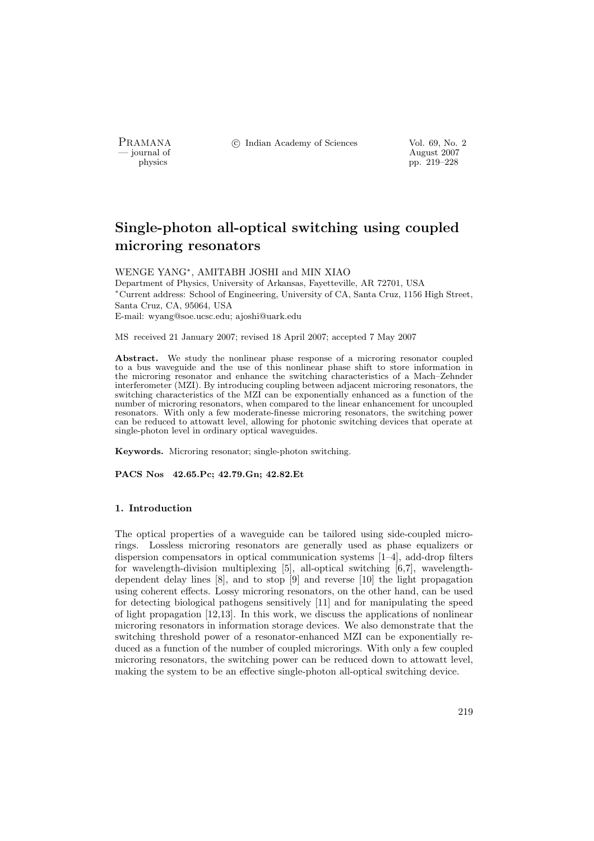PRAMANA °c Indian Academy of Sciences Vol. 69, No. 2

position of the set of the set of the set of the set of the set of the set of the set of the set of the set of the set of the set of the set of the set of the set of the set of the set of the set of the set of the set of t physics pp. 219–228

# Single-photon all-optical switching using coupled microring resonators

WENGE YANG<sup>∗</sup> , AMITABH JOSHI and MIN XIAO Department of Physics, University of Arkansas, Fayetteville, AR 72701, USA <sup>∗</sup>Current address: School of Engineering, University of CA, Santa Cruz, 1156 High Street, Santa Cruz, CA, 95064, USA E-mail: wyang@soe.ucsc.edu; ajoshi@uark.edu

MS received 21 January 2007; revised 18 April 2007; accepted 7 May 2007

Abstract. We study the nonlinear phase response of a microring resonator coupled to a bus waveguide and the use of this nonlinear phase shift to store information in the microring resonator and enhance the switching characteristics of a Mach–Zehnder interferometer (MZI). By introducing coupling between adjacent microring resonators, the switching characteristics of the MZI can be exponentially enhanced as a function of the number of microring resonators, when compared to the linear enhancement for uncoupled resonators. With only a few moderate-finesse microring resonators, the switching power can be reduced to attowatt level, allowing for photonic switching devices that operate at single-photon level in ordinary optical waveguides.

Keywords. Microring resonator; single-photon switching.

PACS Nos 42.65.Pc; 42.79.Gn; 42.82.Et

### 1. Introduction

The optical properties of a waveguide can be tailored using side-coupled microrings. Lossless microring resonators are generally used as phase equalizers or dispersion compensators in optical communication systems [1–4], add-drop filters for wavelength-division multiplexing [5], all-optical switching [6,7], wavelengthdependent delay lines [8], and to stop [9] and reverse [10] the light propagation using coherent effects. Lossy microring resonators, on the other hand, can be used for detecting biological pathogens sensitively [11] and for manipulating the speed of light propagation [12,13]. In this work, we discuss the applications of nonlinear microring resonators in information storage devices. We also demonstrate that the switching threshold power of a resonator-enhanced MZI can be exponentially reduced as a function of the number of coupled microrings. With only a few coupled microring resonators, the switching power can be reduced down to attowatt level, making the system to be an effective single-photon all-optical switching device.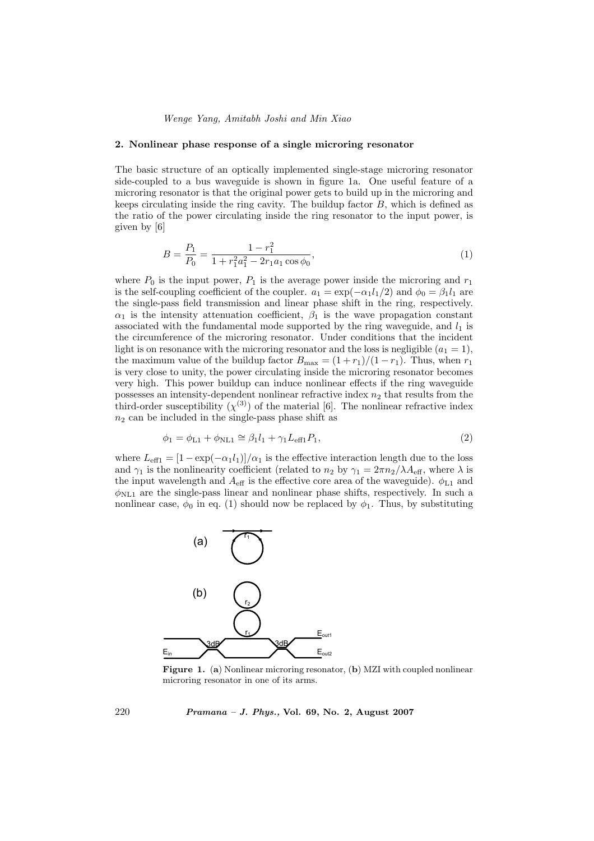### Wenge Yang, Amitabh Joshi and Min Xiao

#### 2. Nonlinear phase response of a single microring resonator

The basic structure of an optically implemented single-stage microring resonator side-coupled to a bus waveguide is shown in figure 1a. One useful feature of a microring resonator is that the original power gets to build up in the microring and keeps circulating inside the ring cavity. The buildup factor  $B$ , which is defined as the ratio of the power circulating inside the ring resonator to the input power, is given by [6]

$$
B = \frac{P_1}{P_0} = \frac{1 - r_1^2}{1 + r_1^2 a_1^2 - 2r_1 a_1 \cos \phi_0},\tag{1}
$$

where  $P_0$  is the input power,  $P_1$  is the average power inside the microring and  $r_1$ is the self-coupling coefficient of the coupler.  $a_1 = \exp(-\alpha_1 l_1/2)$  and  $\phi_0 = \beta_1 l_1$  are the single-pass field transmission and linear phase shift in the ring, respectively.  $\alpha_1$  is the intensity attenuation coefficient,  $\beta_1$  is the wave propagation constant associated with the fundamental mode supported by the ring waveguide, and  $l_1$  is the circumference of the microring resonator. Under conditions that the incident light is on resonance with the microring resonator and the loss is negligible  $(a_1 = 1)$ , the maximum value of the buildup factor  $B_{\text{max}} = \frac{(1+r_1)}{(1-r_1)}$ . Thus, when  $r_1$ is very close to unity, the power circulating inside the microring resonator becomes very high. This power buildup can induce nonlinear effects if the ring waveguide possesses an intensity-dependent nonlinear refractive index  $n_2$  that results from the third-order susceptibility  $(\chi^{(3)})$  of the material [6]. The nonlinear refractive index  $n_2$  can be included in the single-pass phase shift as

$$
\phi_1 = \phi_{L1} + \phi_{\text{NL1}} \cong \beta_1 l_1 + \gamma_1 L_{\text{eff1}} P_1,\tag{2}
$$

where  $L_{\text{eff1}} = [1 - \exp(-\alpha_1 l_1)]/\alpha_1$  is the effective interaction length due to the loss and  $\gamma_1$  is the nonlinearity coefficient (related to  $n_2$  by  $\gamma_1 = 2\pi n_2/\lambda A_{\text{eff}}$ , where  $\lambda$  is the input wavelength and  $A_{\text{eff}}$  is the effective core area of the waveguide).  $\phi_{\text{L1}}$  and  $\phi_{\text{NL1}}$  are the single-pass linear and nonlinear phase shifts, respectively. In such a nonlinear case,  $\phi_0$  in eq. (1) should now be replaced by  $\phi_1$ . Thus, by substituting



Figure 1. (a) Nonlinear microring resonator, (b) MZI with coupled nonlinear microring resonator in one of its arms.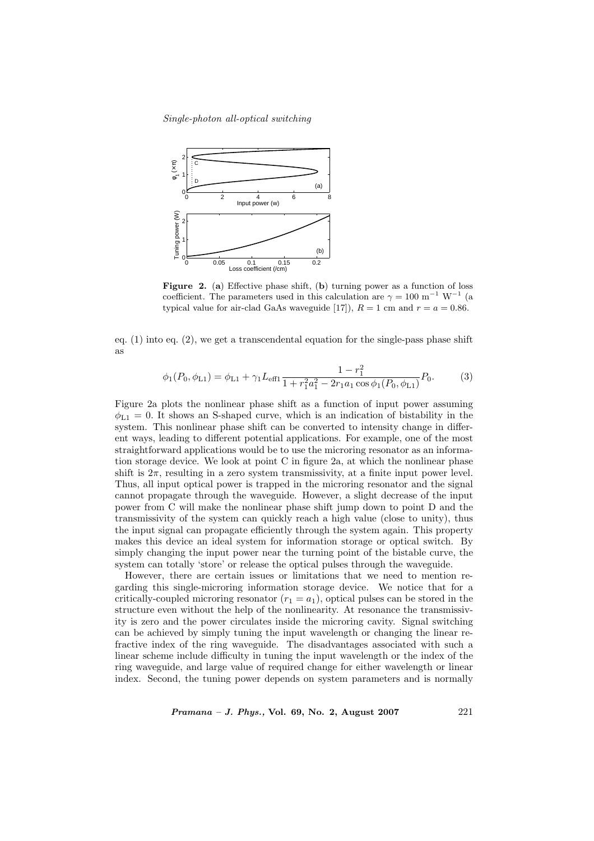Single-photon all-optical switching



Figure 2. (a) Effective phase shift, (b) turning power as a function of loss coefficient. The parameters used in this calculation are  $\gamma = 100 \text{ m}^{-1} \text{ W}^{-1}$  (a typical value for air-clad GaAs waveguide [17]),  $R = 1$  cm and  $r = a = 0.86$ .

eq. (1) into eq. (2), we get a transcendental equation for the single-pass phase shift as

$$
\phi_1(P_0, \phi_{L1}) = \phi_{L1} + \gamma_1 L_{\text{eff1}} \frac{1 - r_1^2}{1 + r_1^2 a_1^2 - 2r_1 a_1 \cos \phi_1(P_0, \phi_{L1})} P_0.
$$
(3)

Figure 2a plots the nonlinear phase shift as a function of input power assuming  $\phi_{\text{L1}} = 0$ . It shows an S-shaped curve, which is an indication of bistability in the system. This nonlinear phase shift can be converted to intensity change in different ways, leading to different potential applications. For example, one of the most straightforward applications would be to use the microring resonator as an information storage device. We look at point C in figure 2a, at which the nonlinear phase shift is  $2\pi$ , resulting in a zero system transmissivity, at a finite input power level. Thus, all input optical power is trapped in the microring resonator and the signal cannot propagate through the waveguide. However, a slight decrease of the input power from C will make the nonlinear phase shift jump down to point D and the transmissivity of the system can quickly reach a high value (close to unity), thus the input signal can propagate efficiently through the system again. This property makes this device an ideal system for information storage or optical switch. By simply changing the input power near the turning point of the bistable curve, the system can totally 'store' or release the optical pulses through the waveguide.

However, there are certain issues or limitations that we need to mention regarding this single-microring information storage device. We notice that for a critically-coupled microring resonator  $(r_1 = a_1)$ , optical pulses can be stored in the structure even without the help of the nonlinearity. At resonance the transmissivity is zero and the power circulates inside the microring cavity. Signal switching can be achieved by simply tuning the input wavelength or changing the linear refractive index of the ring waveguide. The disadvantages associated with such a linear scheme include difficulty in tuning the input wavelength or the index of the ring waveguide, and large value of required change for either wavelength or linear index. Second, the tuning power depends on system parameters and is normally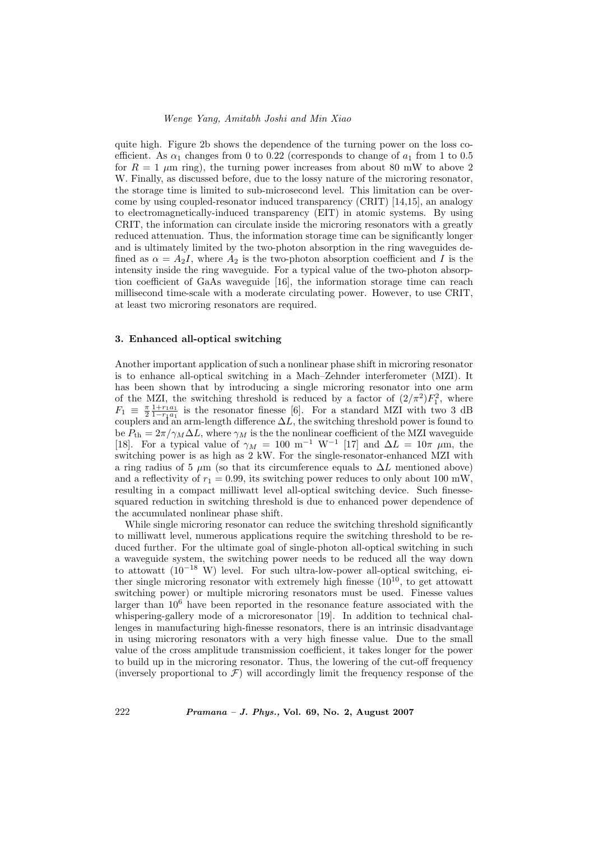quite high. Figure 2b shows the dependence of the turning power on the loss coefficient. As  $\alpha_1$  changes from 0 to 0.22 (corresponds to change of  $a_1$  from 1 to 0.5 for  $R = 1 \mu m$  ring), the turning power increases from about 80 mW to above 2 W. Finally, as discussed before, due to the lossy nature of the microring resonator, the storage time is limited to sub-microsecond level. This limitation can be overcome by using coupled-resonator induced transparency (CRIT) [14,15], an analogy to electromagnetically-induced transparency (EIT) in atomic systems. By using CRIT, the information can circulate inside the microring resonators with a greatly reduced attenuation. Thus, the information storage time can be significantly longer and is ultimately limited by the two-photon absorption in the ring waveguides defined as  $\alpha = A_2I$ , where  $A_2$  is the two-photon absorption coefficient and I is the intensity inside the ring waveguide. For a typical value of the two-photon absorption coefficient of GaAs waveguide [16], the information storage time can reach millisecond time-scale with a moderate circulating power. However, to use CRIT, at least two microring resonators are required.

# 3. Enhanced all-optical switching

Another important application of such a nonlinear phase shift in microring resonator is to enhance all-optical switching in a Mach–Zehnder interferometer (MZI). It has been shown that by introducing a single microring resonator into one arm of the MZI, the switching threshold is reduced by a factor of  $(2/\pi^2)F_1^2$ , where  $F_1 \equiv \frac{\pi}{2} \frac{1+r_1a_1}{1-r_1a_1}$  is the resonator finesse [6]. For a standard MZI with two 3 dB couplers and an arm-length difference  $\Delta L$ , the switching threshold power is found to be  $P_{\text{th}} = 2\pi/\gamma_M \Delta L$ , where  $\gamma_M$  is the the nonlinear coefficient of the MZI waveguide [18]. For a typical value of  $\gamma_M = 100 \text{ m}^{-1} \text{ W}^{-1}$  [17] and  $\Delta L = 10\pi \text{ }\mu\text{m}$ , the switching power is as high as 2 kW. For the single-resonator-enhanced MZI with a ring radius of 5  $\mu$ m (so that its circumference equals to  $\Delta L$  mentioned above) and a reflectivity of  $r_1 = 0.99$ , its switching power reduces to only about 100 mW, resulting in a compact milliwatt level all-optical switching device. Such finessesquared reduction in switching threshold is due to enhanced power dependence of the accumulated nonlinear phase shift.

While single microring resonator can reduce the switching threshold significantly to milliwatt level, numerous applications require the switching threshold to be reduced further. For the ultimate goal of single-photon all-optical switching in such a waveguide system, the switching power needs to be reduced all the way down to attowatt  $(10^{-18} \text{ W})$  level. For such ultra-low-power all-optical switching, either single microring resonator with extremely high finesse  $(10^{10}$ , to get attowatt switching power) or multiple microring resonators must be used. Finesse values larger than 10<sup>6</sup> have been reported in the resonance feature associated with the whispering-gallery mode of a microresonator [19]. In addition to technical challenges in manufacturing high-finesse resonators, there is an intrinsic disadvantage in using microring resonators with a very high finesse value. Due to the small value of the cross amplitude transmission coefficient, it takes longer for the power to build up in the microring resonator. Thus, the lowering of the cut-off frequency (inversely proportional to  $\mathcal{F}$ ) will accordingly limit the frequency response of the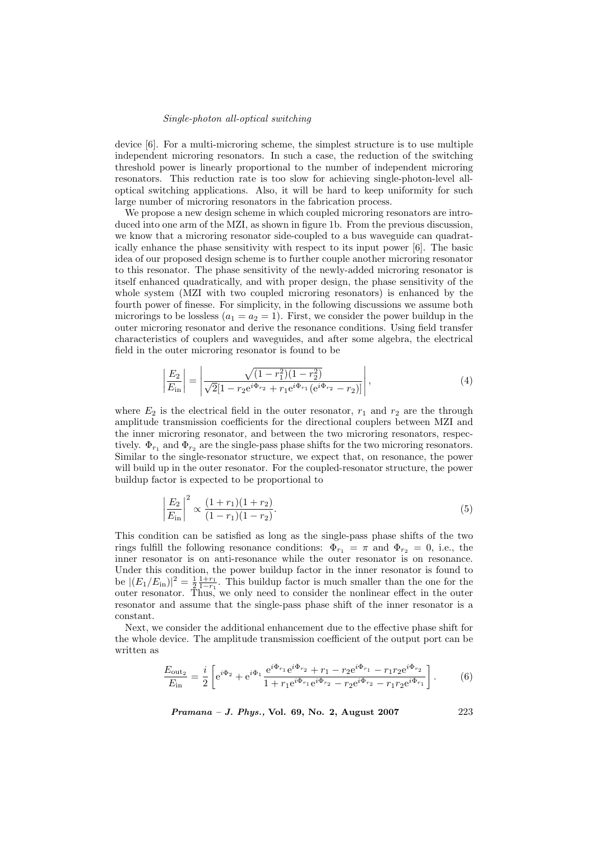# Single-photon all-optical switching

device [6]. For a multi-microring scheme, the simplest structure is to use multiple independent microring resonators. In such a case, the reduction of the switching threshold power is linearly proportional to the number of independent microring resonators. This reduction rate is too slow for achieving single-photon-level alloptical switching applications. Also, it will be hard to keep uniformity for such large number of microring resonators in the fabrication process.

We propose a new design scheme in which coupled microring resonators are introduced into one arm of the MZI, as shown in figure 1b. From the previous discussion, we know that a microring resonator side-coupled to a bus waveguide can quadratically enhance the phase sensitivity with respect to its input power [6]. The basic idea of our proposed design scheme is to further couple another microring resonator to this resonator. The phase sensitivity of the newly-added microring resonator is itself enhanced quadratically, and with proper design, the phase sensitivity of the whole system (MZI with two coupled microring resonators) is enhanced by the fourth power of finesse. For simplicity, in the following discussions we assume both microrings to be lossless  $(a_1 = a_2 = 1)$ . First, we consider the power buildup in the outer microring resonator and derive the resonance conditions. Using field transfer characteristics of couplers and waveguides, and after some algebra, the electrical field in the outer microring resonator is found to be

$$
\left| \frac{E_2}{E_{\rm in}} \right| = \left| \frac{\sqrt{(1 - r_1^2)(1 - r_2^2)}}{\sqrt{2}[1 - r_2 e^{i\Phi_{r_2}} + r_1 e^{i\Phi_{r_1}} (e^{i\Phi_{r_2}} - r_2)]} \right|,
$$
\n(4)

where  $E_2$  is the electrical field in the outer resonator,  $r_1$  and  $r_2$  are the through amplitude transmission coefficients for the directional couplers between MZI and the inner microring resonator, and between the two microring resonators, respectively.  $\Phi_{r_1}$  and  $\Phi_{r_2}$  are the single-pass phase shifts for the two microring resonators. Similar to the single-resonator structure, we expect that, on resonance, the power will build up in the outer resonator. For the coupled-resonator structure, the power buildup factor is expected to be proportional to

$$
\left|\frac{E_2}{E_{\text{in}}}\right|^2 \propto \frac{(1+r_1)(1+r_2)}{(1-r_1)(1-r_2)}.\tag{5}
$$

This condition can be satisfied as long as the single-pass phase shifts of the two rings fulfill the following resonance conditions:  $\Phi_{r_1} = \pi$  and  $\Phi_{r_2} = 0$ , i.e., the inner resonator is on anti-resonance while the outer resonator is on resonance. Under this condition, the power buildup factor in the inner resonator is found to be  $|(E_1/E_{\text{in}})|^2 = \frac{1}{2} \frac{1+r_1}{1-r_1}$ . This buildup factor is much smaller than the one for the outer resonator. Thus, we only need to consider the nonlinear effect in the outer resonator and assume that the single-pass phase shift of the inner resonator is a constant.

Next, we consider the additional enhancement due to the effective phase shift for the whole device. The amplitude transmission coefficient of the output port can be written as

$$
\frac{E_{\text{out}_2}}{E_{\text{in}}} = \frac{i}{2} \left[ e^{i\Phi_2} + e^{i\Phi_1} \frac{e^{i\Phi_{r_1}} e^{i\Phi_{r_2}} + r_1 - r_2 e^{i\Phi_{r_1}} - r_1 r_2 e^{i\Phi_{r_2}}}{1 + r_1 e^{i\Phi_{r_1}} e^{i\Phi_{r_2}} - r_2 e^{i\Phi_{r_2}} - r_1 r_2 e^{i\Phi_{r_1}}} \right].
$$
 (6)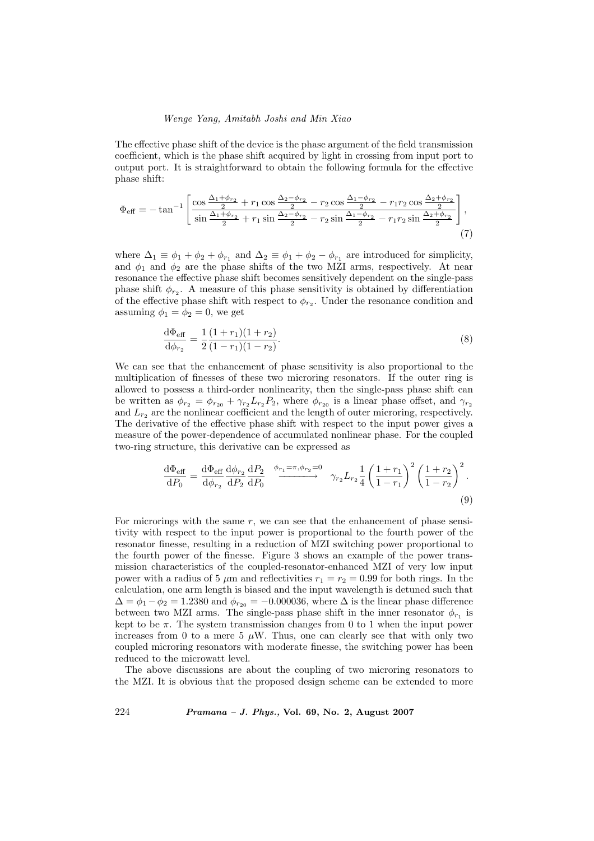# Wenge Yang, Amitabh Joshi and Min Xiao

The effective phase shift of the device is the phase argument of the field transmission coefficient, which is the phase shift acquired by light in crossing from input port to output port. It is straightforward to obtain the following formula for the effective phase shift:

$$
\Phi_{\text{eff}} = -\tan^{-1} \left[ \frac{\cos \frac{\Delta_1 + \phi_{r_2}}{2} + r_1 \cos \frac{\Delta_2 - \phi_{r_2}}{2} - r_2 \cos \frac{\Delta_1 - \phi_{r_2}}{2} - r_1 r_2 \cos \frac{\Delta_2 + \phi_{r_2}}{2}}{\sin \frac{\Delta_1 + \phi_{r_2}}{2} + r_1 \sin \frac{\Delta_2 - \phi_{r_2}}{2} - r_2 \sin \frac{\Delta_1 - \phi_{r_2}}{2} - r_1 r_2 \sin \frac{\Delta_2 + \phi_{r_2}}{2}} \right],
$$
\n(7)

where  $\Delta_1 \equiv \phi_1 + \phi_2 + \phi_{r_1}$  and  $\Delta_2 \equiv \phi_1 + \phi_2 - \phi_{r_1}$  are introduced for simplicity, and  $\phi_1$  and  $\phi_2$  are the phase shifts of the two MZI arms, respectively. At near resonance the effective phase shift becomes sensitively dependent on the single-pass phase shift  $\phi_{r_2}$ . A measure of this phase sensitivity is obtained by differentiation of the effective phase shift with respect to  $\phi_{r_2}$ . Under the resonance condition and assuming  $\phi_1 = \phi_2 = 0$ , we get

$$
\frac{d\Phi_{\text{eff}}}{d\phi_{r_2}} = \frac{1}{2} \frac{(1+r_1)(1+r_2)}{(1-r_1)(1-r_2)}.
$$
\n(8)

We can see that the enhancement of phase sensitivity is also proportional to the multiplication of finesses of these two microring resonators. If the outer ring is allowed to possess a third-order nonlinearity, then the single-pass phase shift can be written as  $\phi_{r_2} = \phi_{r_{20}} + \gamma_{r_2} L_{r_2} P_2$ , where  $\phi_{r_{20}}$  is a linear phase offset, and  $\gamma_{r_2}$ and  $L_{r_2}$  are the nonlinear coefficient and the length of outer microring, respectively. The derivative of the effective phase shift with respect to the input power gives a measure of the power-dependence of accumulated nonlinear phase. For the coupled two-ring structure, this derivative can be expressed as

$$
\frac{d\Phi_{\text{eff}}}{dP_0} = \frac{d\Phi_{\text{eff}}}{d\phi_{r_2}} \frac{d\phi_{r_2}}{dP_2} \frac{dP_2}{dP_0} \xrightarrow{\phi_{r_1} = \pi, \phi_{r_2} = 0} \gamma_{r_2} L_{r_2} \frac{1}{4} \left(\frac{1+r_1}{1-r_1}\right)^2 \left(\frac{1+r_2}{1-r_2}\right)^2.
$$
\n(9)

For microrings with the same  $r$ , we can see that the enhancement of phase sensitivity with respect to the input power is proportional to the fourth power of the resonator finesse, resulting in a reduction of MZI switching power proportional to the fourth power of the finesse. Figure 3 shows an example of the power transmission characteristics of the coupled-resonator-enhanced MZI of very low input power with a radius of 5  $\mu$ m and reflectivities  $r_1 = r_2 = 0.99$  for both rings. In the calculation, one arm length is biased and the input wavelength is detuned such that  $\Delta = \phi_1 - \phi_2 = 1.2380$  and  $\phi_{r_{20}} = -0.000036$ , where  $\Delta$  is the linear phase difference between two MZI arms. The single-pass phase shift in the inner resonator  $\phi_{r_1}$  is kept to be  $\pi$ . The system transmission changes from 0 to 1 when the input power increases from 0 to a mere 5  $\mu$ W. Thus, one can clearly see that with only two coupled microring resonators with moderate finesse, the switching power has been reduced to the microwatt level.

The above discussions are about the coupling of two microring resonators to the MZI. It is obvious that the proposed design scheme can be extended to more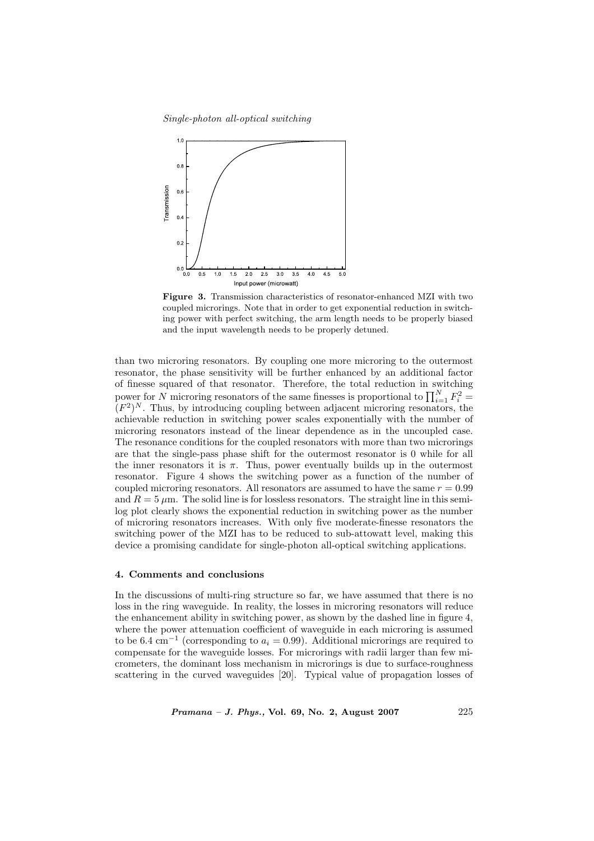Single-photon all-optical switching



Figure 3. Transmission characteristics of resonator-enhanced MZI with two coupled microrings. Note that in order to get exponential reduction in switching power with perfect switching, the arm length needs to be properly biased and the input wavelength needs to be properly detuned.

than two microring resonators. By coupling one more microring to the outermost resonator, the phase sensitivity will be further enhanced by an additional factor of finesse squared of that resonator. Therefore, the total reduction in switching by measured of that resonator. Therefore, the total reduction in switching<br>power for N microring resonators of the same finesses is proportional to  $\prod_{i=1}^{N} F_i^2$  $(F<sup>2</sup>)<sup>N</sup>$ . Thus, by introducing coupling between adjacent microring resonators, the achievable reduction in switching power scales exponentially with the number of microring resonators instead of the linear dependence as in the uncoupled case. The resonance conditions for the coupled resonators with more than two microrings are that the single-pass phase shift for the outermost resonator is 0 while for all the inner resonators it is  $\pi$ . Thus, power eventually builds up in the outermost resonator. Figure 4 shows the switching power as a function of the number of coupled microring resonators. All resonators are assumed to have the same  $r = 0.99$ and  $R = 5 \mu$ m. The solid line is for lossless resonators. The straight line in this semilog plot clearly shows the exponential reduction in switching power as the number of microring resonators increases. With only five moderate-finesse resonators the switching power of the MZI has to be reduced to sub-attowatt level, making this device a promising candidate for single-photon all-optical switching applications.

# 4. Comments and conclusions

In the discussions of multi-ring structure so far, we have assumed that there is no loss in the ring waveguide. In reality, the losses in microring resonators will reduce the enhancement ability in switching power, as shown by the dashed line in figure 4, where the power attenuation coefficient of waveguide in each microring is assumed to be 6.4 cm<sup>-1</sup> (corresponding to  $a_i = 0.99$ ). Additional microrings are required to compensate for the waveguide losses. For microrings with radii larger than few micrometers, the dominant loss mechanism in microrings is due to surface-roughness scattering in the curved waveguides [20]. Typical value of propagation losses of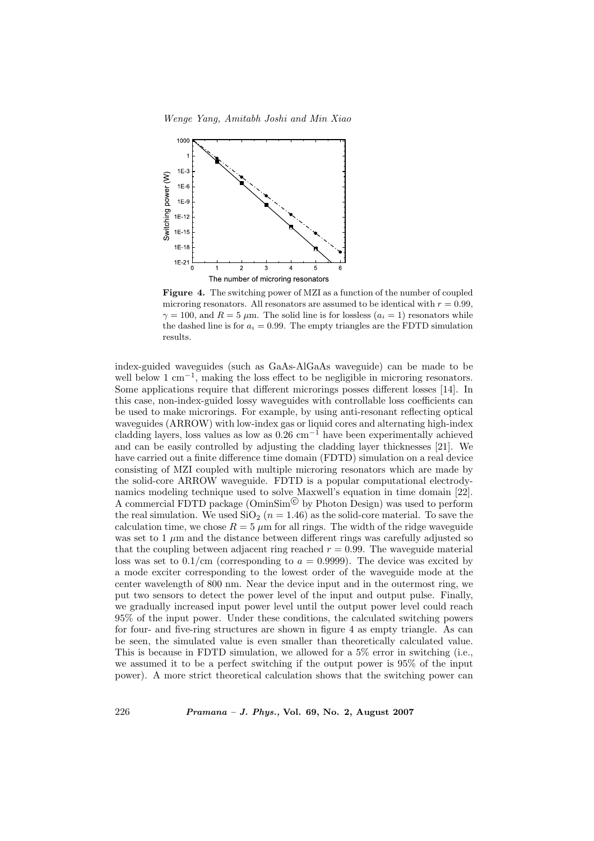Wenge Yang, Amitabh Joshi and Min Xiao



Figure 4. The switching power of MZI as a function of the number of coupled microring resonators. All resonators are assumed to be identical with  $r = 0.99$ ,  $\gamma = 100$ , and  $R = 5 \mu$ m. The solid line is for lossless  $(a_i = 1)$  resonators while the dashed line is for  $a_i = 0.99$ . The empty triangles are the FDTD simulation results.

index-guided waveguides (such as GaAs-AlGaAs waveguide) can be made to be well below 1  $\text{cm}^{-1}$ , making the loss effect to be negligible in microring resonators. Some applications require that different microrings posses different losses [14]. In this case, non-index-guided lossy waveguides with controllable loss coefficients can be used to make microrings. For example, by using anti-resonant reflecting optical waveguides (ARROW) with low-index gas or liquid cores and alternating high-index cladding layers, loss values as low as  $0.26 \text{ cm}^{-1}$  have been experimentally achieved and can be easily controlled by adjusting the cladding layer thicknesses [21]. We have carried out a finite difference time domain (FDTD) simulation on a real device consisting of MZI coupled with multiple microring resonators which are made by the solid-core ARROW waveguide. FDTD is a popular computational electrodynamics modeling technique used to solve Maxwell's equation in time domain [22]. A commercial FDTD package (OminSim<sup>C</sup> by Photon Design) was used to perform the real simulation. We used  $\text{SiO}_2$  ( $n = 1.46$ ) as the solid-core material. To save the calculation time, we chose  $R = 5 \mu m$  for all rings. The width of the ridge waveguide was set to 1  $\mu$ m and the distance between different rings was carefully adjusted so that the coupling between adjacent ring reached  $r = 0.99$ . The waveguide material loss was set to  $0.1/\text{cm}$  (corresponding to  $a = 0.9999$ ). The device was excited by a mode exciter corresponding to the lowest order of the waveguide mode at the center wavelength of 800 nm. Near the device input and in the outermost ring, we put two sensors to detect the power level of the input and output pulse. Finally, we gradually increased input power level until the output power level could reach 95% of the input power. Under these conditions, the calculated switching powers for four- and five-ring structures are shown in figure 4 as empty triangle. As can be seen, the simulated value is even smaller than theoretically calculated value. This is because in FDTD simulation, we allowed for a 5% error in switching (i.e., we assumed it to be a perfect switching if the output power is 95% of the input power). A more strict theoretical calculation shows that the switching power can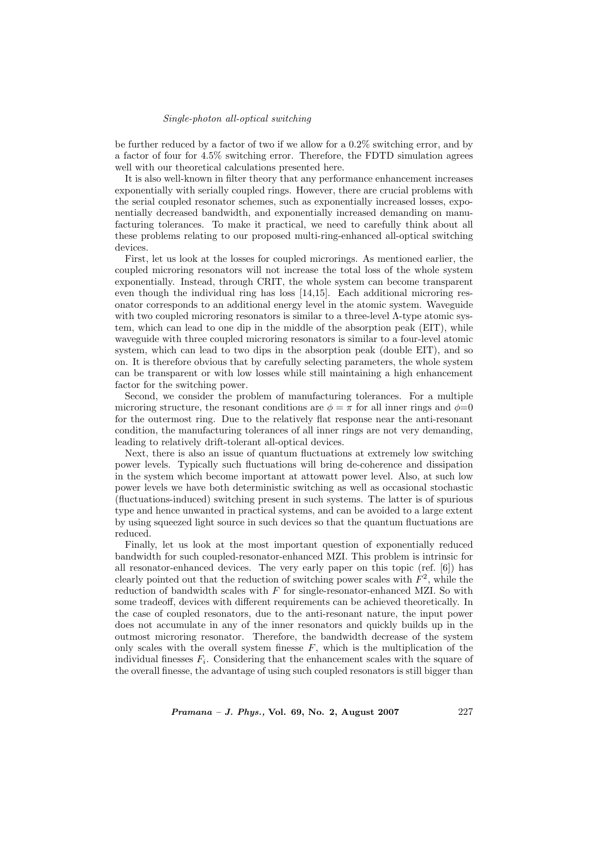# Single-photon all-optical switching

be further reduced by a factor of two if we allow for a 0.2% switching error, and by a factor of four for 4.5% switching error. Therefore, the FDTD simulation agrees well with our theoretical calculations presented here.

It is also well-known in filter theory that any performance enhancement increases exponentially with serially coupled rings. However, there are crucial problems with the serial coupled resonator schemes, such as exponentially increased losses, exponentially decreased bandwidth, and exponentially increased demanding on manufacturing tolerances. To make it practical, we need to carefully think about all these problems relating to our proposed multi-ring-enhanced all-optical switching devices.

First, let us look at the losses for coupled microrings. As mentioned earlier, the coupled microring resonators will not increase the total loss of the whole system exponentially. Instead, through CRIT, the whole system can become transparent even though the individual ring has loss [14,15]. Each additional microring resonator corresponds to an additional energy level in the atomic system. Waveguide with two coupled microring resonators is similar to a three-level  $\Lambda$ -type atomic system, which can lead to one dip in the middle of the absorption peak (EIT), while waveguide with three coupled microring resonators is similar to a four-level atomic system, which can lead to two dips in the absorption peak (double EIT), and so on. It is therefore obvious that by carefully selecting parameters, the whole system can be transparent or with low losses while still maintaining a high enhancement factor for the switching power.

Second, we consider the problem of manufacturing tolerances. For a multiple microring structure, the resonant conditions are  $\phi = \pi$  for all inner rings and  $\phi = 0$ for the outermost ring. Due to the relatively flat response near the anti-resonant condition, the manufacturing tolerances of all inner rings are not very demanding, leading to relatively drift-tolerant all-optical devices.

Next, there is also an issue of quantum fluctuations at extremely low switching power levels. Typically such fluctuations will bring de-coherence and dissipation in the system which become important at attowatt power level. Also, at such low power levels we have both deterministic switching as well as occasional stochastic (fluctuations-induced) switching present in such systems. The latter is of spurious type and hence unwanted in practical systems, and can be avoided to a large extent by using squeezed light source in such devices so that the quantum fluctuations are reduced.

Finally, let us look at the most important question of exponentially reduced bandwidth for such coupled-resonator-enhanced MZI. This problem is intrinsic for all resonator-enhanced devices. The very early paper on this topic (ref. [6]) has clearly pointed out that the reduction of switching power scales with  $F^2$ , while the reduction of bandwidth scales with  $F$  for single-resonator-enhanced MZI. So with some tradeoff, devices with different requirements can be achieved theoretically. In the case of coupled resonators, due to the anti-resonant nature, the input power does not accumulate in any of the inner resonators and quickly builds up in the outmost microring resonator. Therefore, the bandwidth decrease of the system only scales with the overall system finesse  $F$ , which is the multiplication of the individual finesses  $F_i$ . Considering that the enhancement scales with the square of the overall finesse, the advantage of using such coupled resonators is still bigger than